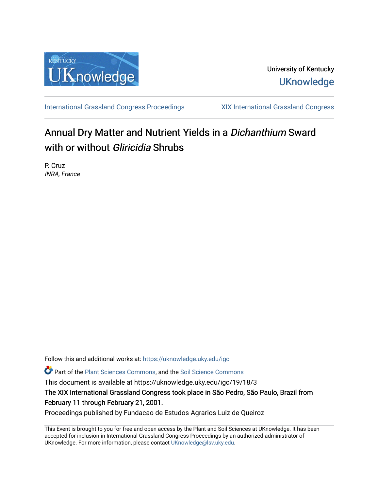

[International Grassland Congress Proceedings](https://uknowledge.uky.edu/igc) [XIX International Grassland Congress](https://uknowledge.uky.edu/igc/19) 

# Annual Dry Matter and Nutrient Yields in a Dichanthium Sward with or without *Gliricidia* Shrubs

P. Cruz INRA, France

Follow this and additional works at: [https://uknowledge.uky.edu/igc](https://uknowledge.uky.edu/igc?utm_source=uknowledge.uky.edu%2Figc%2F19%2F18%2F3&utm_medium=PDF&utm_campaign=PDFCoverPages) 

**C** Part of the [Plant Sciences Commons](http://network.bepress.com/hgg/discipline/102?utm_source=uknowledge.uky.edu%2Figc%2F19%2F18%2F3&utm_medium=PDF&utm_campaign=PDFCoverPages), and the Soil Science Commons

This document is available at https://uknowledge.uky.edu/igc/19/18/3

The XIX International Grassland Congress took place in São Pedro, São Paulo, Brazil from February 11 through February 21, 2001.

Proceedings published by Fundacao de Estudos Agrarios Luiz de Queiroz

This Event is brought to you for free and open access by the Plant and Soil Sciences at UKnowledge. It has been accepted for inclusion in International Grassland Congress Proceedings by an authorized administrator of UKnowledge. For more information, please contact [UKnowledge@lsv.uky.edu](mailto:UKnowledge@lsv.uky.edu).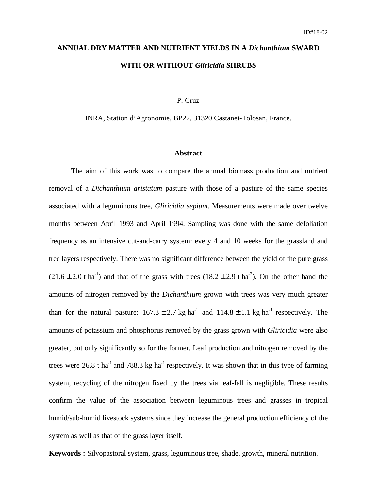# **ANNUAL DRY MATTER AND NUTRIENT YIELDS IN A** *Dichanthium* **SWARD WITH OR WITHOUT** *Gliricidia* **SHRUBS**

#### P. Cruz

INRA, Station d'Agronomie, BP27, 31320 Castanet-Tolosan, France.

### **Abstract**

The aim of this work was to compare the annual biomass production and nutrient removal of a *Dichanthium aristatum* pasture with those of a pasture of the same species associated with a leguminous tree, *Gliricidia sepium*. Measurements were made over twelve months between April 1993 and April 1994. Sampling was done with the same defoliation frequency as an intensive cut-and-carry system: every 4 and 10 weeks for the grassland and tree layers respectively. There was no significant difference between the yield of the pure grass  $(21.6 \pm 2.0 \text{ t} \text{ ha}^{-1})$  and that of the grass with trees  $(18.2 \pm 2.9 \text{ t} \text{ ha}^{-2})$ . On the other hand the amounts of nitrogen removed by the *Dichanthium* grown with trees was very much greater than for the natural pasture:  $167.3 \pm 2.7$  kg ha<sup>-1</sup> and  $114.8 \pm 1.1$  kg ha<sup>-1</sup> respectively. The amounts of potassium and phosphorus removed by the grass grown with *Gliricidia* were also greater, but only significantly so for the former. Leaf production and nitrogen removed by the trees were 26.8 t ha<sup>-1</sup> and 788.3 kg ha<sup>-1</sup> respectively. It was shown that in this type of farming system, recycling of the nitrogen fixed by the trees via leaf-fall is negligible. These results confirm the value of the association between leguminous trees and grasses in tropical humid/sub-humid livestock systems since they increase the general production efficiency of the system as well as that of the grass layer itself.

**Keywords :** Silvopastoral system, grass, leguminous tree, shade, growth, mineral nutrition.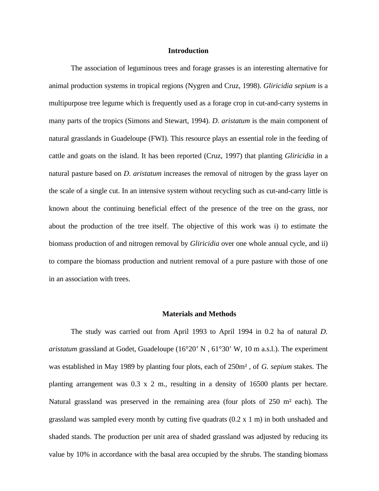### **Introduction**

The association of leguminous trees and forage grasses is an interesting alternative for animal production systems in tropical regions (Nygren and Cruz, 1998). *Gliricidia sepium* is a multipurpose tree legume which is frequently used as a forage crop in cut-and-carry systems in many parts of the tropics (Simons and Stewart, 1994). *D. aristatum* is the main component of natural grasslands in Guadeloupe (FWI). This resource plays an essential role in the feeding of cattle and goats on the island. It has been reported (Cruz, 1997) that planting *Gliricidia* in a natural pasture based on *D. aristatum* increases the removal of nitrogen by the grass layer on the scale of a single cut. In an intensive system without recycling such as cut-and-carry little is known about the continuing beneficial effect of the presence of the tree on the grass, nor about the production of the tree itself. The objective of this work was i) to estimate the biomass production of and nitrogen removal by *Gliricidia* over one whole annual cycle, and ii) to compare the biomass production and nutrient removal of a pure pasture with those of one in an association with trees.

#### **Materials and Methods**

The study was carried out from April 1993 to April 1994 in 0.2 ha of natural *D. aristatum* grassland at Godet, Guadeloupe (16°20' N , 61°30' W, 10 m a.s.l.). The experiment was established in May 1989 by planting four plots, each of 250m² , of *G. sepium* stakes. The planting arrangement was 0.3 x 2 m., resulting in a density of 16500 plants per hectare. Natural grassland was preserved in the remaining area (four plots of 250 m² each). The grassland was sampled every month by cutting five quadrats (0.2 x 1 m) in both unshaded and shaded stands. The production per unit area of shaded grassland was adjusted by reducing its value by 10% in accordance with the basal area occupied by the shrubs. The standing biomass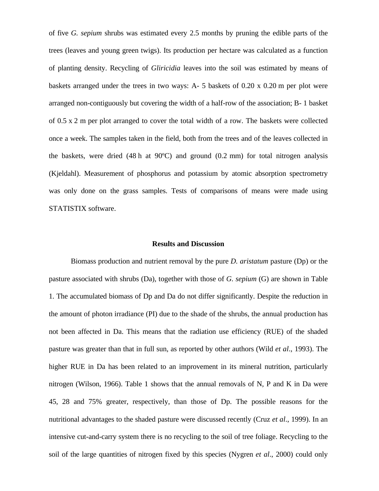of five *G. sepium* shrubs was estimated every 2.5 months by pruning the edible parts of the trees (leaves and young green twigs). Its production per hectare was calculated as a function of planting density. Recycling of *Gliricidia* leaves into the soil was estimated by means of baskets arranged under the trees in two ways: A- 5 baskets of 0.20 x 0.20 m per plot were arranged non-contiguously but covering the width of a half-row of the association; B- 1 basket of 0.5 x 2 m per plot arranged to cover the total width of a row. The baskets were collected once a week. The samples taken in the field, both from the trees and of the leaves collected in the baskets, were dried  $(48 \text{ h at } 90^{\circ}\text{C})$  and ground  $(0.2 \text{ mm})$  for total nitrogen analysis (Kjeldahl). Measurement of phosphorus and potassium by atomic absorption spectrometry was only done on the grass samples. Tests of comparisons of means were made using STATISTIX software.

#### **Results and Discussion**

Biomass production and nutrient removal by the pure *D. aristatum* pasture (Dp) or the pasture associated with shrubs (Da)*,* together with those of *G. sepium* (G) are shown in Table 1. The accumulated biomass of Dp and Da do not differ significantly. Despite the reduction in the amount of photon irradiance (PI) due to the shade of the shrubs, the annual production has not been affected in Da. This means that the radiation use efficiency (RUE) of the shaded pasture was greater than that in full sun, as reported by other authors (Wild *et al*., 1993). The higher RUE in Da has been related to an improvement in its mineral nutrition, particularly nitrogen (Wilson, 1966). Table 1 shows that the annual removals of N, P and K in Da were 45, 28 and 75% greater, respectively, than those of Dp. The possible reasons for the nutritional advantages to the shaded pasture were discussed recently (Cruz *et al*., 1999). In an intensive cut-and-carry system there is no recycling to the soil of tree foliage. Recycling to the soil of the large quantities of nitrogen fixed by this species (Nygren *et al*., 2000) could only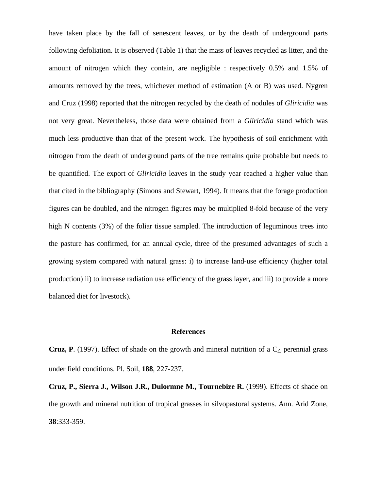have taken place by the fall of senescent leaves, or by the death of underground parts following defoliation. It is observed (Table 1) that the mass of leaves recycled as litter, and the amount of nitrogen which they contain, are negligible : respectively 0.5% and 1.5% of amounts removed by the trees, whichever method of estimation (A or B) was used. Nygren and Cruz (1998) reported that the nitrogen recycled by the death of nodules of *Gliricidia* was not very great. Nevertheless, those data were obtained from a *Gliricidia* stand which was much less productive than that of the present work. The hypothesis of soil enrichment with nitrogen from the death of underground parts of the tree remains quite probable but needs to be quantified. The export of *Gliricidia* leaves in the study year reached a higher value than that cited in the bibliography (Simons and Stewart, 1994). It means that the forage production figures can be doubled, and the nitrogen figures may be multiplied 8-fold because of the very high N contents (3%) of the foliar tissue sampled. The introduction of leguminous trees into the pasture has confirmed, for an annual cycle, three of the presumed advantages of such a growing system compared with natural grass: i) to increase land-use efficiency (higher total production) ii) to increase radiation use efficiency of the grass layer, and iii) to provide a more balanced diet for livestock).

## **References**

**Cruz, P**. (1997). Effect of shade on the growth and mineral nutrition of a  $C_4$  perennial grass under field conditions. Pl. Soil, **188**, 227-237.

**Cruz, P., Sierra J., Wilson J.R., Dulormne M., Tournebize R.** (1999). Effects of shade on the growth and mineral nutrition of tropical grasses in silvopastoral systems. Ann. Arid Zone, **38**:333-359.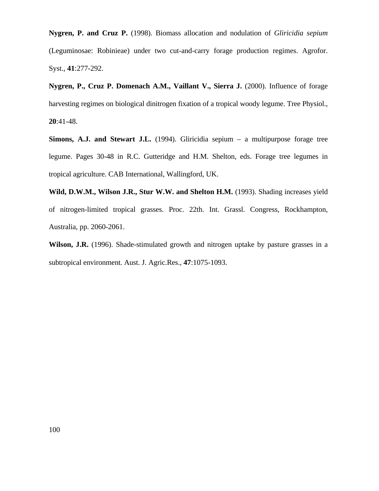**Nygren, P. and Cruz P.** (1998). Biomass allocation and nodulation of *Gliricidia sepium* (Leguminosae: Robinieae) under two cut-and-carry forage production regimes. Agrofor. Syst., **41**:277-292.

**Nygren, P., Cruz P. Domenach A.M., Vaillant V., Sierra J.** (2000). Influence of forage harvesting regimes on biological dinitrogen fixation of a tropical woody legume. Tree Physiol., **20**:41-48.

**Simons, A.J. and Stewart J.L.** (1994). Gliricidia sepium – a multipurpose forage tree legume. Pages 30-48 in R.C. Gutteridge and H.M. Shelton, eds. Forage tree legumes in tropical agriculture. CAB International, Wallingford, UK.

**Wild, D.W.M., Wilson J.R., Stur W.W. and Shelton H.M.** (1993). Shading increases yield of nitrogen-limited tropical grasses. Proc. 22th. Int. Grassl. Congress, Rockhampton, Australia, pp. 2060-2061.

**Wilson, J.R.** (1996). Shade-stimulated growth and nitrogen uptake by pasture grasses in a subtropical environment. Aust. J. Agric.Res., **47**:1075-1093.